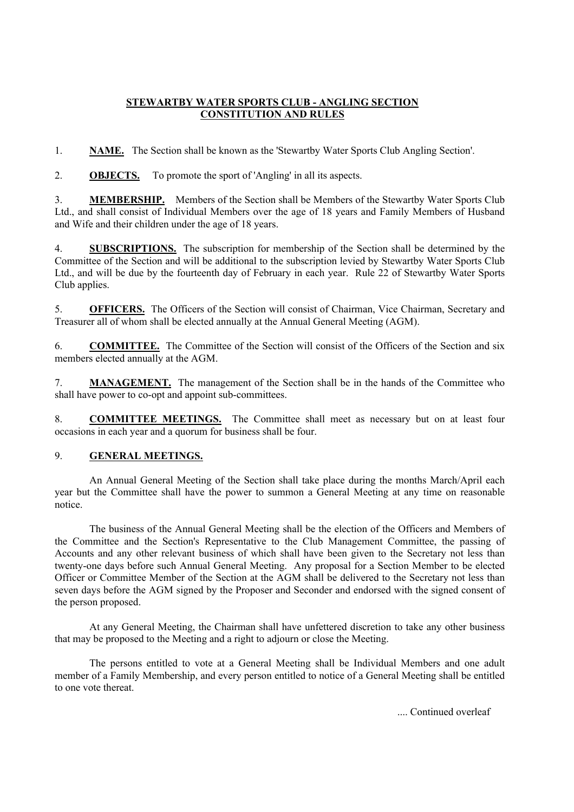## **STEWARTBY WATER SPORTS CLUB - ANGLING SECTION CONSTITUTION AND RULES**

1. **NAME.** The Section shall be known as the 'Stewartby Water Sports Club Angling Section'.

2. **OBJECTS.** To promote the sport of 'Angling' in all its aspects.

3. **MEMBERSHIP.** Members of the Section shall be Members of the Stewartby Water Sports Club Ltd., and shall consist of Individual Members over the age of 18 years and Family Members of Husband and Wife and their children under the age of 18 years.

4. **SUBSCRIPTIONS.** The subscription for membership of the Section shall be determined by the Committee of the Section and will be additional to the subscription levied by Stewartby Water Sports Club Ltd., and will be due by the fourteenth day of February in each year. Rule 22 of Stewartby Water Sports Club applies.

5. **OFFICERS.** The Officers of the Section will consist of Chairman, Vice Chairman, Secretary and Treasurer all of whom shall be elected annually at the Annual General Meeting (AGM).

6. **COMMITTEE.** The Committee of the Section will consist of the Officers of the Section and six members elected annually at the AGM.

7. **MANAGEMENT.** The management of the Section shall be in the hands of the Committee who shall have power to co-opt and appoint sub-committees.

8. **COMMITTEE MEETINGS.** The Committee shall meet as necessary but on at least four occasions in each year and a quorum for business shall be four.

## 9. **GENERAL MEETINGS.**

An Annual General Meeting of the Section shall take place during the months March/April each year but the Committee shall have the power to summon a General Meeting at any time on reasonable notice.

The business of the Annual General Meeting shall be the election of the Officers and Members of the Committee and the Section's Representative to the Club Management Committee, the passing of Accounts and any other relevant business of which shall have been given to the Secretary not less than twenty-one days before such Annual General Meeting. Any proposal for a Section Member to be elected Officer or Committee Member of the Section at the AGM shall be delivered to the Secretary not less than seven days before the AGM signed by the Proposer and Seconder and endorsed with the signed consent of the person proposed.

At any General Meeting, the Chairman shall have unfettered discretion to take any other business that may be proposed to the Meeting and a right to adjourn or close the Meeting.

The persons entitled to vote at a General Meeting shall be Individual Members and one adult member of a Family Membership, and every person entitled to notice of a General Meeting shall be entitled to one vote thereat.

.... Continued overleaf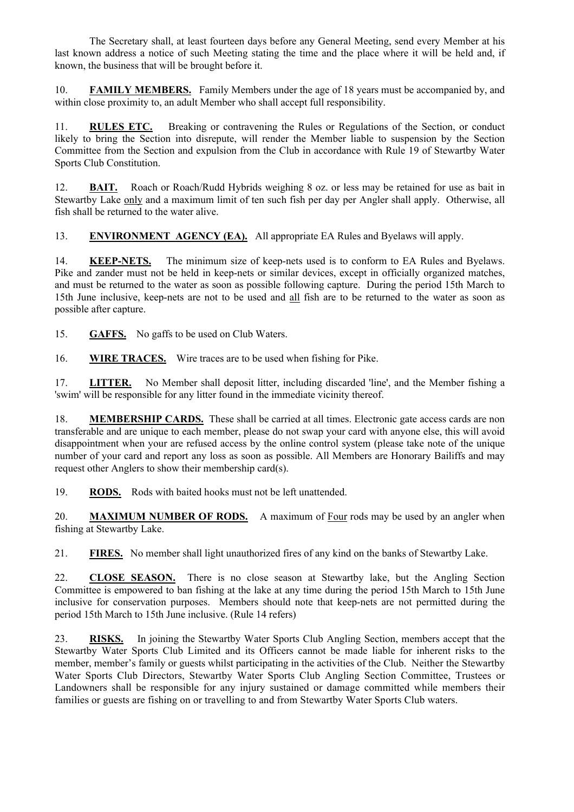The Secretary shall, at least fourteen days before any General Meeting, send every Member at his last known address a notice of such Meeting stating the time and the place where it will be held and, if known, the business that will be brought before it.

10. **FAMILY MEMBERS.** Family Members under the age of 18 years must be accompanied by, and within close proximity to, an adult Member who shall accept full responsibility.

11. **RULES ETC.** Breaking or contravening the Rules or Regulations of the Section, or conduct likely to bring the Section into disrepute, will render the Member liable to suspension by the Section Committee from the Section and expulsion from the Club in accordance with Rule 19 of Stewartby Water Sports Club Constitution.

12. **BAIT.** Roach or Roach/Rudd Hybrids weighing 8 oz. or less may be retained for use as bait in Stewartby Lake only and a maximum limit of ten such fish per day per Angler shall apply. Otherwise, all fish shall be returned to the water alive.

13. **ENVIRONMENT AGENCY (EA).** All appropriate EA Rules and Byelaws will apply.

14. **KEEP-NETS.** The minimum size of keep-nets used is to conform to EA Rules and Byelaws. Pike and zander must not be held in keep-nets or similar devices, except in officially organized matches, and must be returned to the water as soon as possible following capture. During the period 15th March to 15th June inclusive, keep-nets are not to be used and all fish are to be returned to the water as soon as possible after capture.

15. **GAFFS.** No gaffs to be used on Club Waters.

16. **WIRE TRACES.** Wire traces are to be used when fishing for Pike.

17. **LITTER.** No Member shall deposit litter, including discarded 'line', and the Member fishing a 'swim' will be responsible for any litter found in the immediate vicinity thereof.

18. **MEMBERSHIP CARDS.** These shall be carried at all times. Electronic gate access cards are non transferable and are unique to each member, please do not swap your card with anyone else, this will avoid disappointment when your are refused access by the online control system (please take note of the unique number of your card and report any loss as soon as possible. All Members are Honorary Bailiffs and may request other Anglers to show their membership card(s).

19. **RODS.** Rods with baited hooks must not be left unattended.

20. **MAXIMUM NUMBER OF RODS.** A maximum of Four rods may be used by an angler when fishing at Stewartby Lake.

21. **FIRES.** No member shall light unauthorized fires of any kind on the banks of Stewartby Lake.

22. **CLOSE SEASON.** There is no close season at Stewartby lake, but the Angling Section Committee is empowered to ban fishing at the lake at any time during the period 15th March to 15th June inclusive for conservation purposes. Members should note that keep-nets are not permitted during the period 15th March to 15th June inclusive. (Rule 14 refers)

23. **RISKS.** In joining the Stewartby Water Sports Club Angling Section, members accept that the Stewartby Water Sports Club Limited and its Officers cannot be made liable for inherent risks to the member, member's family or guests whilst participating in the activities of the Club. Neither the Stewartby Water Sports Club Directors, Stewartby Water Sports Club Angling Section Committee, Trustees or Landowners shall be responsible for any injury sustained or damage committed while members their families or guests are fishing on or travelling to and from Stewartby Water Sports Club waters.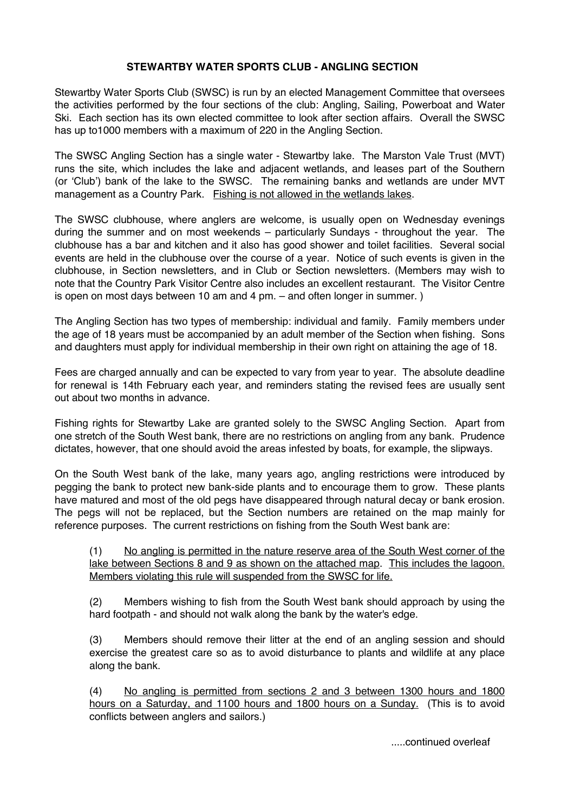## **STEWARTBY WATER SPORTS CLUB - ANGLING SECTION**

Stewartby Water Sports Club (SWSC) is run by an elected Management Committee that oversees the activities performed by the four sections of the club: Angling, Sailing, Powerboat and Water Ski. Each section has its own elected committee to look after section affairs. Overall the SWSC has up to1000 members with a maximum of 220 in the Angling Section.

The SWSC Angling Section has a single water - Stewartby lake. The Marston Vale Trust (MVT) runs the site, which includes the lake and adjacent wetlands, and leases part of the Southern (or 'Club') bank of the lake to the SWSC. The remaining banks and wetlands are under MVT management as a Country Park. Fishing is not allowed in the wetlands lakes.

The SWSC clubhouse, where anglers are welcome, is usually open on Wednesday evenings during the summer and on most weekends – particularly Sundays - throughout the year. The clubhouse has a bar and kitchen and it also has good shower and toilet facilities. Several social events are held in the clubhouse over the course of a year. Notice of such events is given in the clubhouse, in Section newsletters, and in Club or Section newsletters. (Members may wish to note that the Country Park Visitor Centre also includes an excellent restaurant. The Visitor Centre is open on most days between 10 am and 4 pm. – and often longer in summer. )

The Angling Section has two types of membership: individual and family. Family members under the age of 18 years must be accompanied by an adult member of the Section when fishing. Sons and daughters must apply for individual membership in their own right on attaining the age of 18.

Fees are charged annually and can be expected to vary from year to year. The absolute deadline for renewal is 14th February each year, and reminders stating the revised fees are usually sent out about two months in advance.

Fishing rights for Stewartby Lake are granted solely to the SWSC Angling Section. Apart from one stretch of the South West bank, there are no restrictions on angling from any bank. Prudence dictates, however, that one should avoid the areas infested by boats, for example, the slipways.

On the South West bank of the lake, many years ago, angling restrictions were introduced by pegging the bank to protect new bank-side plants and to encourage them to grow. These plants have matured and most of the old pegs have disappeared through natural decay or bank erosion. The pegs will not be replaced, but the Section numbers are retained on the map mainly for reference purposes. The current restrictions on fishing from the South West bank are:

(1) No angling is permitted in the nature reserve area of the South West corner of the lake between Sections 8 and 9 as shown on the attached map. This includes the lagoon. Members violating this rule will suspended from the SWSC for life.

(2) Members wishing to fish from the South West bank should approach by using the hard footpath - and should not walk along the bank by the water's edge.

(3) Members should remove their litter at the end of an angling session and should exercise the greatest care so as to avoid disturbance to plants and wildlife at any place along the bank.

(4) No angling is permitted from sections 2 and 3 between 1300 hours and 1800 hours on a Saturday, and 1100 hours and 1800 hours on a Sunday. (This is to avoid conflicts between anglers and sailors.)

.....continued overleaf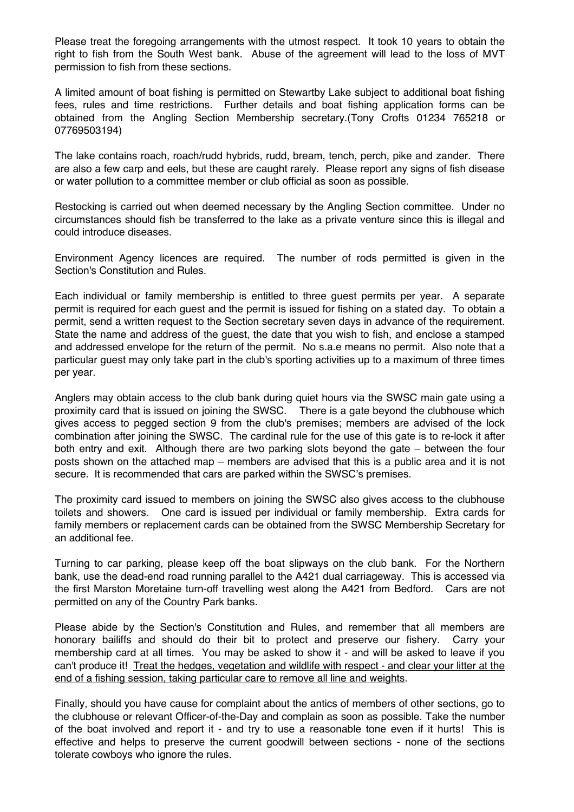Please treat the foregoing arrangements with the utmost respect. It took 10 years to obtain the right to fish from the South West bank. Abuse of the agreement will lead to the loss of MVT permission to fish from these sections.

A limited amount of boat fishing is permitted on Stewartby Lake subject to additional boat fishing fees, rules and time restrictions. Further details and boat fishing application forms can be obtained from the Angling Section Membership secretary.(Tony Crofts 01234 765218 or 07769503194)

The lake contains roach, roach/rudd hybrids, rudd, bream, tench, perch, pike and zander. There are also a few carp and eels, but these are caught rarely. Please report any signs of fish disease or water pollution to a committee member or club official as soon as possible.

Restocking is carried out when deemed necessary by the Angling Section committee. Under no circumstances should fish be transferred to the lake as a private venture since this is illegal and could introduce diseases.

Environment Agency licences are required. The number of rods permitted is given in the Section's Constitution and Rules.

Each individual or family membership is entitled to three guest permits per year. A separate permit is required for each guest and the permit is issued for fishing on a stated day. To obtain a permit, send a written request to the Section secretary seven days in advance of the requirement. State the name and address of the guest, the date that you wish to fish, and enclose a stamped and addressed envelope for the return of the permit. No s.a.e means no permit. Also note that a particular guest may only take part in the club's sporting activities up to a maximum of three times per year.

Anglers may obtain access to the club bank during quiet hours via the SWSC main gate using a proximity card that is issued on joining the SWSC. There is a gate beyond the clubhouse which gives access to pegged section 9 from the club's premises; members are advised of the lock combination after joining the SWSC. The cardinal rule for the use of this gate is to re-lock it after both entry and exit. Although there are two parking slots beyond the gate – between the four posts shown on the attached map – members are advised that this is a public area and it is not secure. It is recommended that cars are parked within the SWSC's premises.

The proximity card issued to members on joining the SWSC also gives access to the clubhouse toilets and showers. One card is issued per individual or family membership. Extra cards for family members or replacement cards can be obtained from the SWSC Membership Secretary for an additional fee.

Turning to car parking, please keep off the boat slipways on the club bank. For the Northern bank, use the dead-end road running parallel to the A421 dual carriageway. This is accessed via the first Marston Moretaine turn-off travelling west along the A421 from Bedford. Cars are not permitted on any of the Country Park banks.

Please abide by the Section's Constitution and Rules, and remember that all members are honorary bailiffs and should do their bit to protect and preserve our fishery. Carry your membership card at all times. You may be asked to show it - and will be asked to leave if you can't produce it! Treat the hedges, vegetation and wildlife with respect - and clear your litter at the end of a fishing session, taking particular care to remove all line and weights.

Finally, should you have cause for complaint about the antics of members of other sections, go to the clubhouse or relevant Officer-of-the-Day and complain as soon as possible. Take the number of the boat involved and report it - and try to use a reasonable tone even if it hurts! This is effective and helps to preserve the current goodwill between sections - none of the sections tolerate cowboys who ignore the rules.